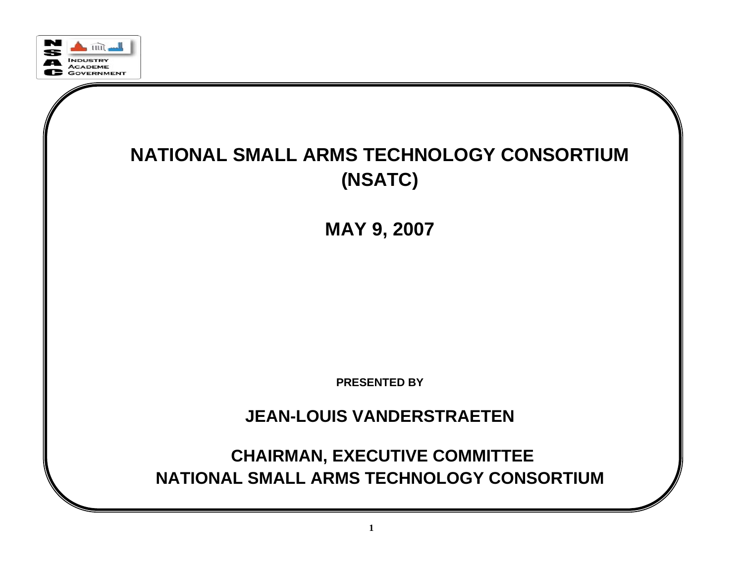

#### **NATIONAL SMALL ARMS TECHNOLOGY CONSORTIUM (NSATC)**

**MAY 9, 2007**

**PRESENTED BY**

**JEAN-LOUIS VANDERSTRAETEN**

**CHAIRMAN, EXECUTIVE COMMITTEE NATIONAL SMALL ARMS TECHNOLOGY CONSORTIUM**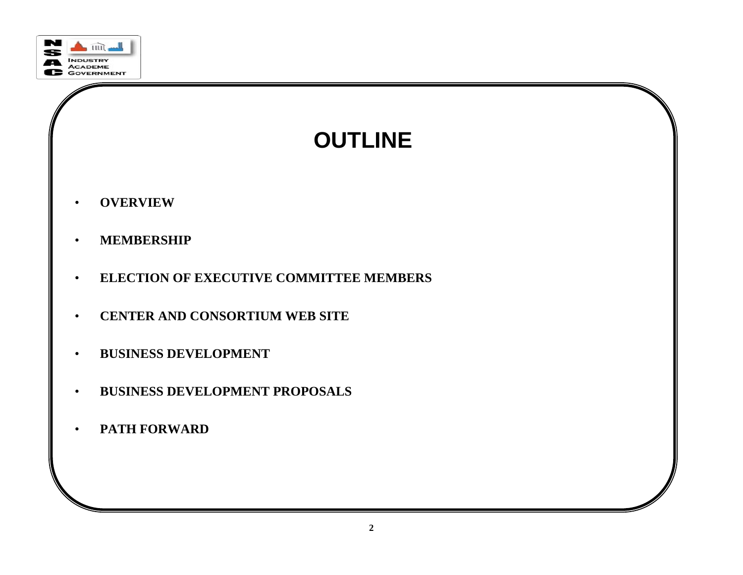

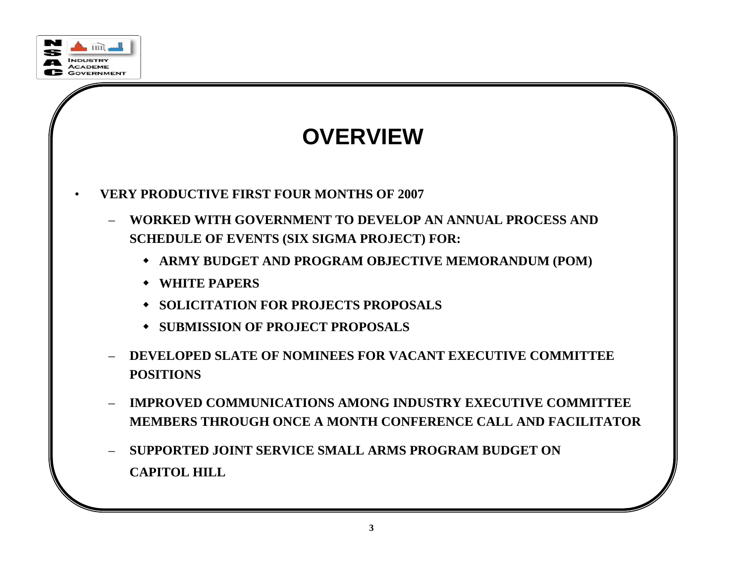

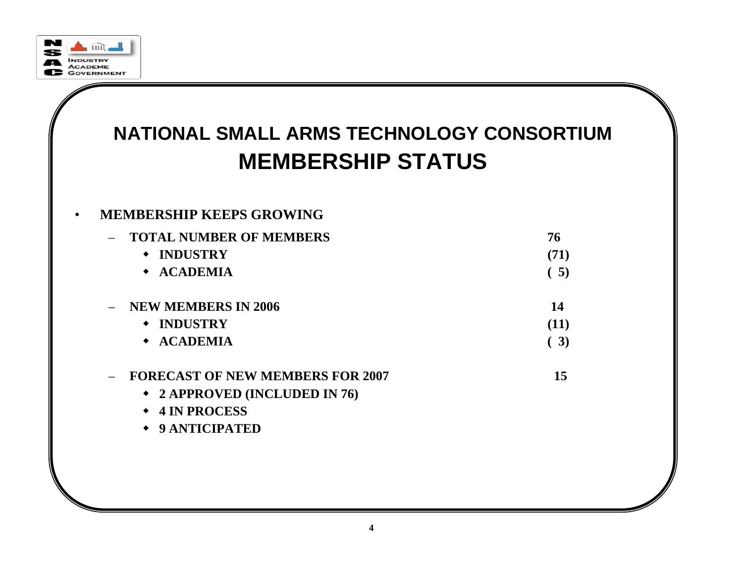

## **NATIONAL SMALL ARMS TECHNOLOGY CONSORTIUM MEMBERSHIP STATUS**

#### •**MEMBERSHIP KEEPS GROWING**

|                          | <b>TOTAL NUMBER OF MEMBERS</b>          | 76   |
|--------------------------|-----------------------------------------|------|
|                          | <b>INDUSTRY</b><br>$\bullet$            | (71) |
|                          | $\triangleleft$ ACADEMIA                | (5)  |
| $\overline{\phantom{0}}$ | <b>NEW MEMBERS IN 2006</b>              | 14   |
|                          | <b>INDUSTRY</b><br>$\bullet$            | (11) |
|                          | $\triangle$ ACADEMIA                    | (3)  |
|                          | <b>FORECAST OF NEW MEMBERS FOR 2007</b> | 15   |
|                          | ◆ 2 APPROVED (INCLUDED IN 76)           |      |
|                          | <b>4 IN PROCESS</b>                     |      |

**9 ANTICIPATED**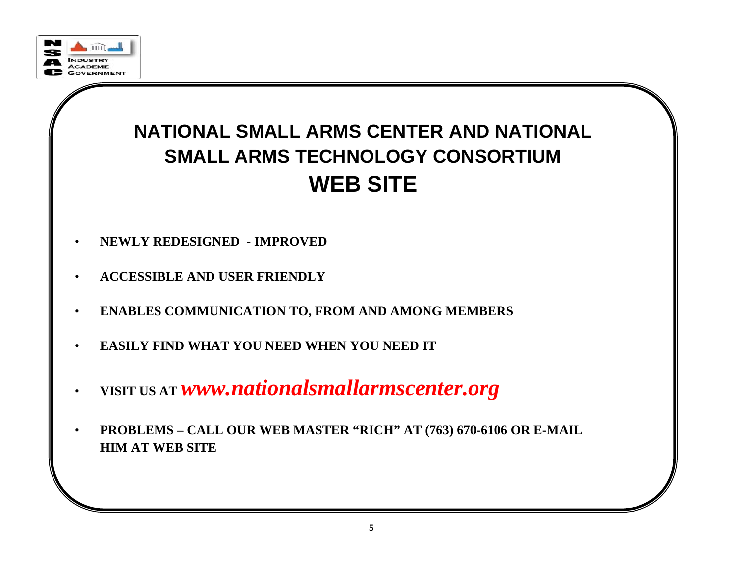

## **NATIONAL SMALL ARMS CENTER AND NATIONAL SMALL ARMS TECHNOLOGY CONSORTIUM WEB SITE**

- •**NEWLY REDESIGNED - IMPROVED**
- •**ACCESSIBLE AND USER FRIENDLY**
- •**ENABLES COMMUNICATION TO, FROM AND AMONG MEMBERS**
- •**EASILY FIND WHAT YOU NEED WHEN YOU NEED IT**
- •**VISIT US AT** *www.nationalsmallarmscenter.org*
- • **PROBLEMS – CALL OUR WEB MASTER "RICH" AT (763) 670-6106 OR E-MAIL HIM AT WEB SITE**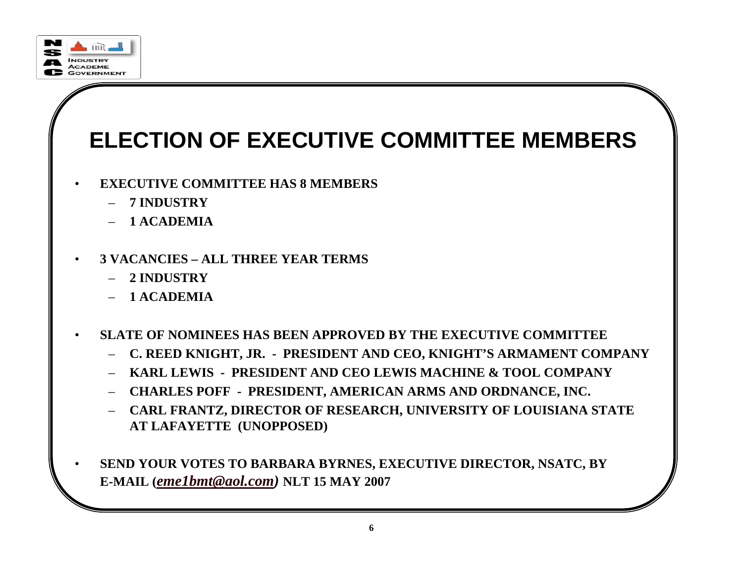

# **ELECTION OF EXECUTIVE COMMITTEE MEMBERS**

- • **EXECUTIVE COMMITTEE HAS 8 MEMBERS**
	- **7 INDUSTRY**
	- **1 ACADEMIA**
- • **3 VACANCIES – ALL THREE YEAR TERMS**
	- **2 INDUSTRY**
	- **1 ACADEMIA**
- • **SLATE OF NOMINEES HAS BEEN APPROVED BY THE EXECUTIVE COMMITTEE**
	- **C. REED KNIGHT, JR. - PRESIDENT AND CEO, KNIGHT'S ARMAMENT COMPANY**
	- **KARL LEWIS - PRESIDENT AND CEO LEWIS MACHINE & TOOL COMPANY**
	- **CHARLES POFF - PRESIDENT, AMERICAN ARMS AND ORDNANCE, INC.**
	- **CARL FRANTZ, DIRECTOR OF RESEARCH, UNIVERSITY OF LOUISIANA STATE AT LAFAYETTE (UNOPPOSED)**
- • **SEND YOUR VOTES TO BARBARA BYRNES, EXECUTIVE DIRECTOR, NSATC, BY E-MAIL (***eme1bmt@aol.com)* **NLT 15 MAY 2007**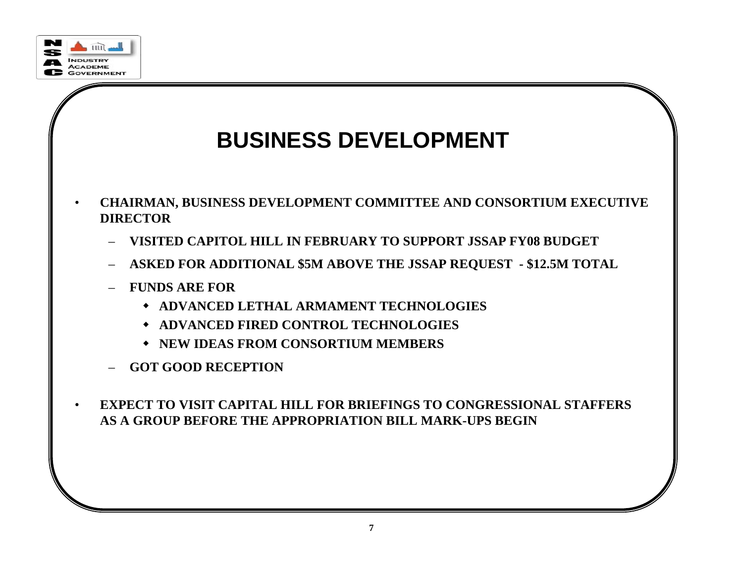

## **BUSINESS DEVELOPMENT**

- • **CHAIRMAN, BUSINESS DEVELOPMENT COMMITTEE AND CONSORTIUM EXECUTIVE DIRECTOR**
	- **VISITED CAPITOL HILL IN FEBRUARY TO SUPPORT JSSAP FY08 BUDGET**
	- **ASKED FOR ADDITIONAL \$5M ABOVE THE JSSAP REQUEST - \$12.5M TOTAL**
	- **FUNDS ARE FOR**
		- **ADVANCED LETHAL ARMAMENT TECHNOLOGIES**
		- **ADVANCED FIRED CONTROL TECHNOLOGIES**
		- **NEW IDEAS FROM CONSORTIUM MEMBERS**
	- **GOT GOOD RECEPTION**
- $\bullet$  **EXPECT TO VISIT CAPITAL HILL FOR BRIEFINGS TO CONGRESSIONAL STAFFERS AS A GROUP BEFORE THE APPROPRIATION BILL MARK-UPS BEGIN**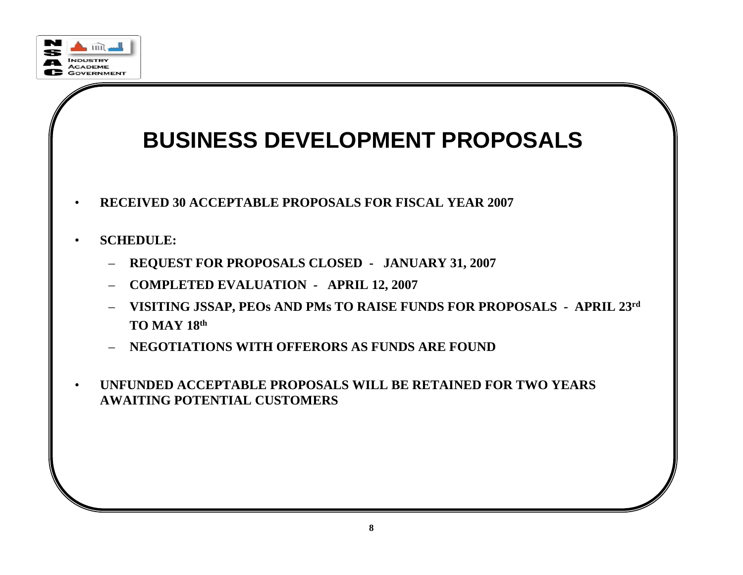

## **BUSINESS DEVELOPMENT PROPOSALS**

- •**RECEIVED 30 ACCEPTABLE PROPOSALS FOR FISCAL YEAR 2007**
- • **SCHEDULE:**
	- **REQUEST FOR PROPOSALS CLOSED - JANUARY 31, 2007**
	- **COMPLETED EVALUATION - APRIL 12, 2007**
	- **VISITING JSSAP, PEOs AND PMs TO RAISE FUNDS FOR PROPOSALS - APRIL 23rd TO MAY 18th**
	- **NEGOTIATIONS WITH OFFERORS AS FUNDS ARE FOUND**
- • **UNFUNDED ACCEPTABLE PROPOSALS WILL BE RETAINED FOR TWO YEARS AWAITING POTENTIAL CUSTOMERS**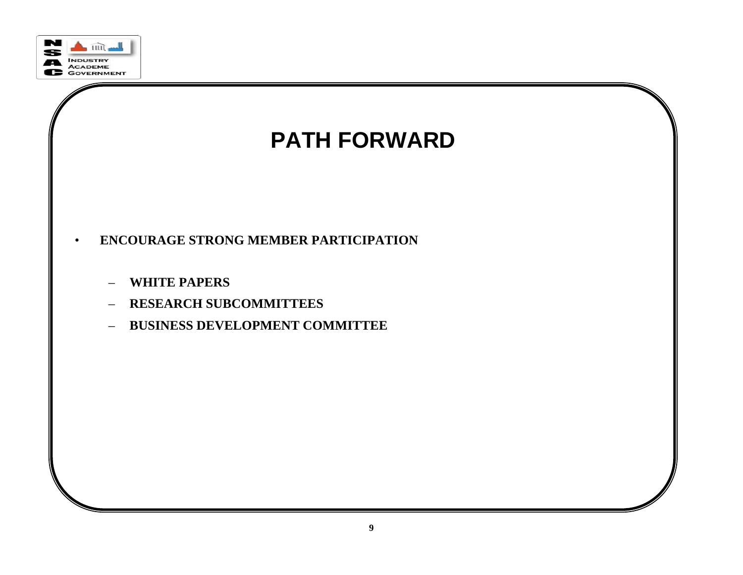



- • **ENCOURAGE STRONG MEMBER PARTICIPATION**
	- **WHITE PAPERS**
	- **RESEARCH SUBCOMMITTEES**
	- **BUSINESS DEVELOPMENT COMMITTEE**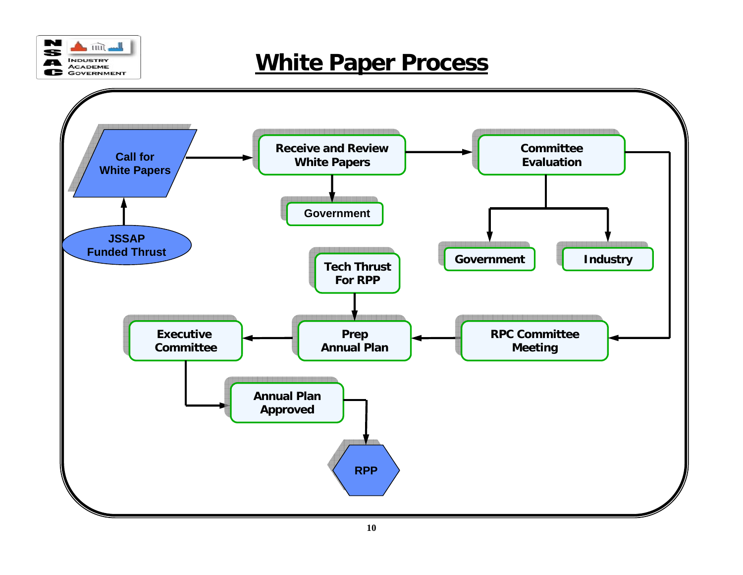

### **White Paper Process**